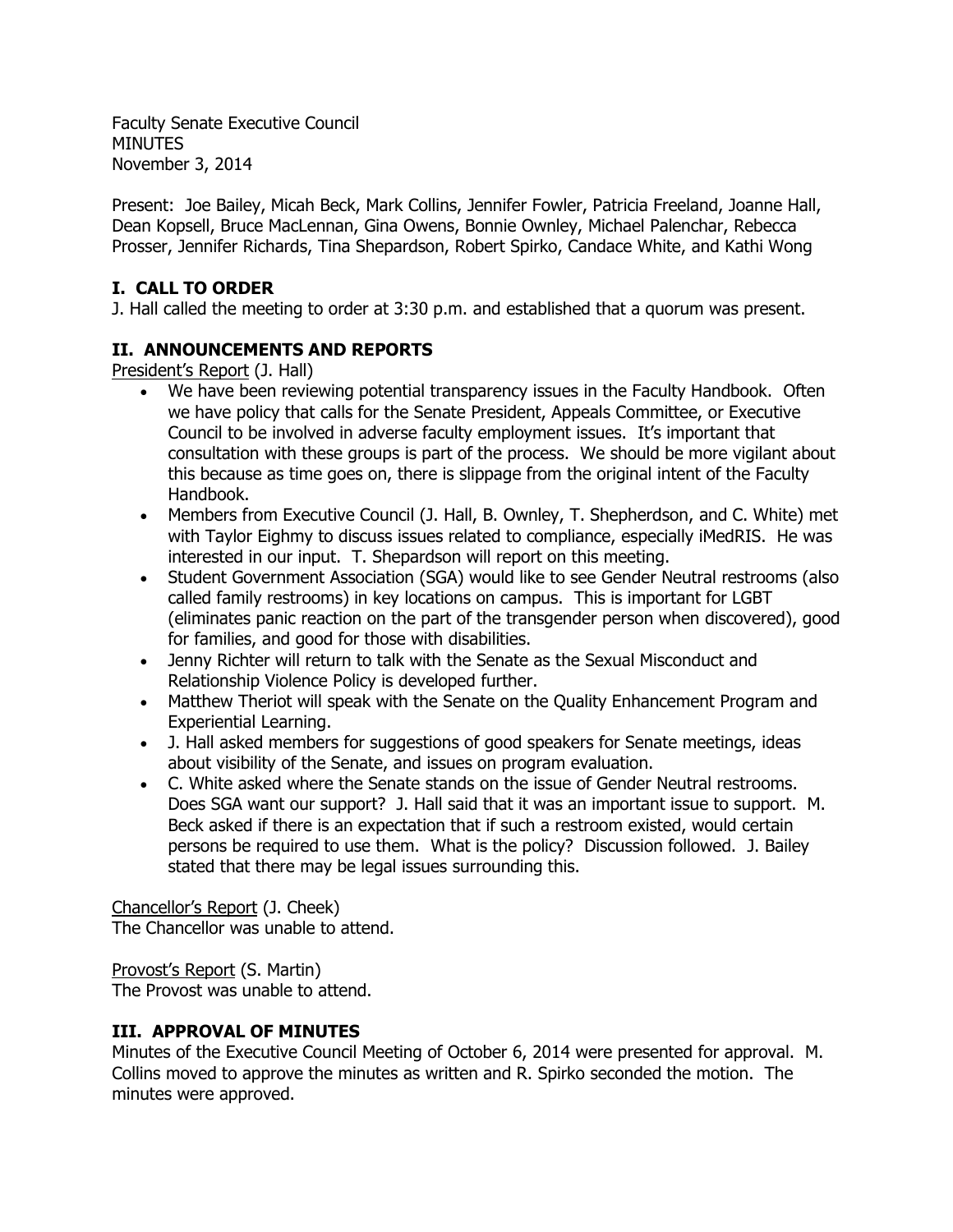Faculty Senate Executive Council MINUTES November 3, 2014

Present: Joe Bailey, Micah Beck, Mark Collins, Jennifer Fowler, Patricia Freeland, Joanne Hall, Dean Kopsell, Bruce MacLennan, Gina Owens, Bonnie Ownley, Michael Palenchar, Rebecca Prosser, Jennifer Richards, Tina Shepardson, Robert Spirko, Candace White, and Kathi Wong

# **I. CALL TO ORDER**

J. Hall called the meeting to order at 3:30 p.m. and established that a quorum was present.

# **II. ANNOUNCEMENTS AND REPORTS**

President's Report (J. Hall)

- We have been reviewing potential transparency issues in the Faculty Handbook. Often we have policy that calls for the Senate President, Appeals Committee, or Executive Council to be involved in adverse faculty employment issues. It's important that consultation with these groups is part of the process. We should be more vigilant about this because as time goes on, there is slippage from the original intent of the Faculty Handbook.
- Members from Executive Council (J. Hall, B. Ownley, T. Shepherdson, and C. White) met with Taylor Eighmy to discuss issues related to compliance, especially iMedRIS. He was interested in our input. T. Shepardson will report on this meeting.
- Student Government Association (SGA) would like to see Gender Neutral restrooms (also called family restrooms) in key locations on campus. This is important for LGBT (eliminates panic reaction on the part of the transgender person when discovered), good for families, and good for those with disabilities.
- Jenny Richter will return to talk with the Senate as the Sexual Misconduct and Relationship Violence Policy is developed further.
- Matthew Theriot will speak with the Senate on the Quality Enhancement Program and Experiential Learning.
- J. Hall asked members for suggestions of good speakers for Senate meetings, ideas about visibility of the Senate, and issues on program evaluation.
- C. White asked where the Senate stands on the issue of Gender Neutral restrooms. Does SGA want our support? J. Hall said that it was an important issue to support. M. Beck asked if there is an expectation that if such a restroom existed, would certain persons be required to use them. What is the policy? Discussion followed. J. Bailey stated that there may be legal issues surrounding this.

Chancellor's Report (J. Cheek) The Chancellor was unable to attend.

Provost's Report (S. Martin) The Provost was unable to attend.

# **III. APPROVAL OF MINUTES**

Minutes of the Executive Council Meeting of October 6, 2014 were presented for approval. M. Collins moved to approve the minutes as written and R. Spirko seconded the motion. The minutes were approved.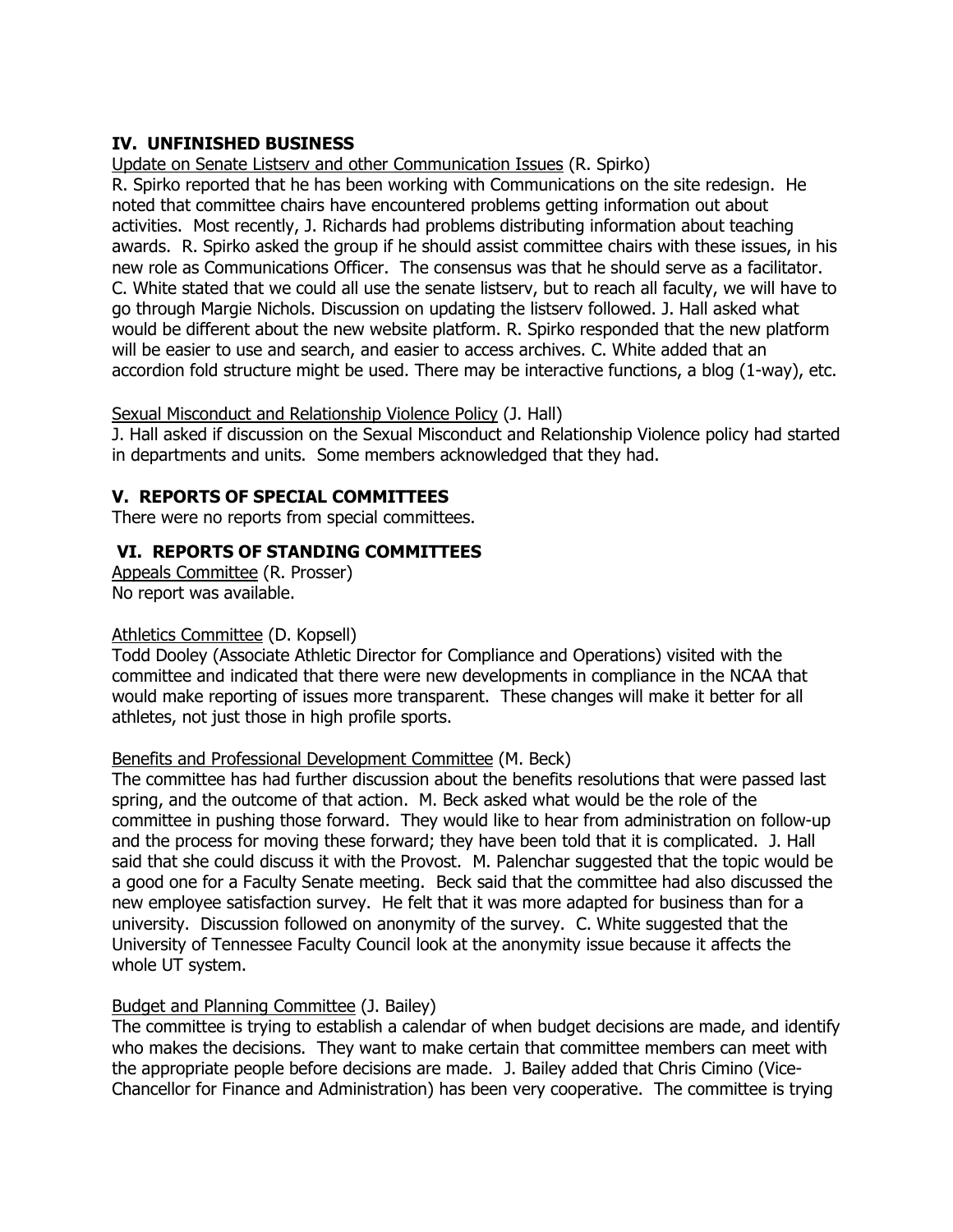# **IV. UNFINISHED BUSINESS**

Update on Senate Listserv and other Communication Issues (R. Spirko)

R. Spirko reported that he has been working with Communications on the site redesign. He noted that committee chairs have encountered problems getting information out about activities. Most recently, J. Richards had problems distributing information about teaching awards. R. Spirko asked the group if he should assist committee chairs with these issues, in his new role as Communications Officer. The consensus was that he should serve as a facilitator. C. White stated that we could all use the senate listserv, but to reach all faculty, we will have to go through Margie Nichols. Discussion on updating the listserv followed. J. Hall asked what would be different about the new website platform. R. Spirko responded that the new platform will be easier to use and search, and easier to access archives. C. White added that an accordion fold structure might be used. There may be interactive functions, a blog (1-way), etc.

Sexual Misconduct and Relationship Violence Policy (J. Hall)

J. Hall asked if discussion on the Sexual Misconduct and Relationship Violence policy had started in departments and units. Some members acknowledged that they had.

# **V. REPORTS OF SPECIAL COMMITTEES**

There were no reports from special committees.

### **VI. REPORTS OF STANDING COMMITTEES**

Appeals Committee (R. Prosser) No report was available.

### Athletics Committee (D. Kopsell)

Todd Dooley (Associate Athletic Director for Compliance and Operations) visited with the committee and indicated that there were new developments in compliance in the NCAA that would make reporting of issues more transparent. These changes will make it better for all athletes, not just those in high profile sports.

### Benefits and Professional Development Committee (M. Beck)

The committee has had further discussion about the benefits resolutions that were passed last spring, and the outcome of that action. M. Beck asked what would be the role of the committee in pushing those forward. They would like to hear from administration on follow-up and the process for moving these forward; they have been told that it is complicated. J. Hall said that she could discuss it with the Provost. M. Palenchar suggested that the topic would be a good one for a Faculty Senate meeting. Beck said that the committee had also discussed the new employee satisfaction survey. He felt that it was more adapted for business than for a university. Discussion followed on anonymity of the survey. C. White suggested that the University of Tennessee Faculty Council look at the anonymity issue because it affects the whole UT system.

### Budget and Planning Committee (J. Bailey)

The committee is trying to establish a calendar of when budget decisions are made, and identify who makes the decisions. They want to make certain that committee members can meet with the appropriate people before decisions are made. J. Bailey added that Chris Cimino (Vice-Chancellor for Finance and Administration) has been very cooperative. The committee is trying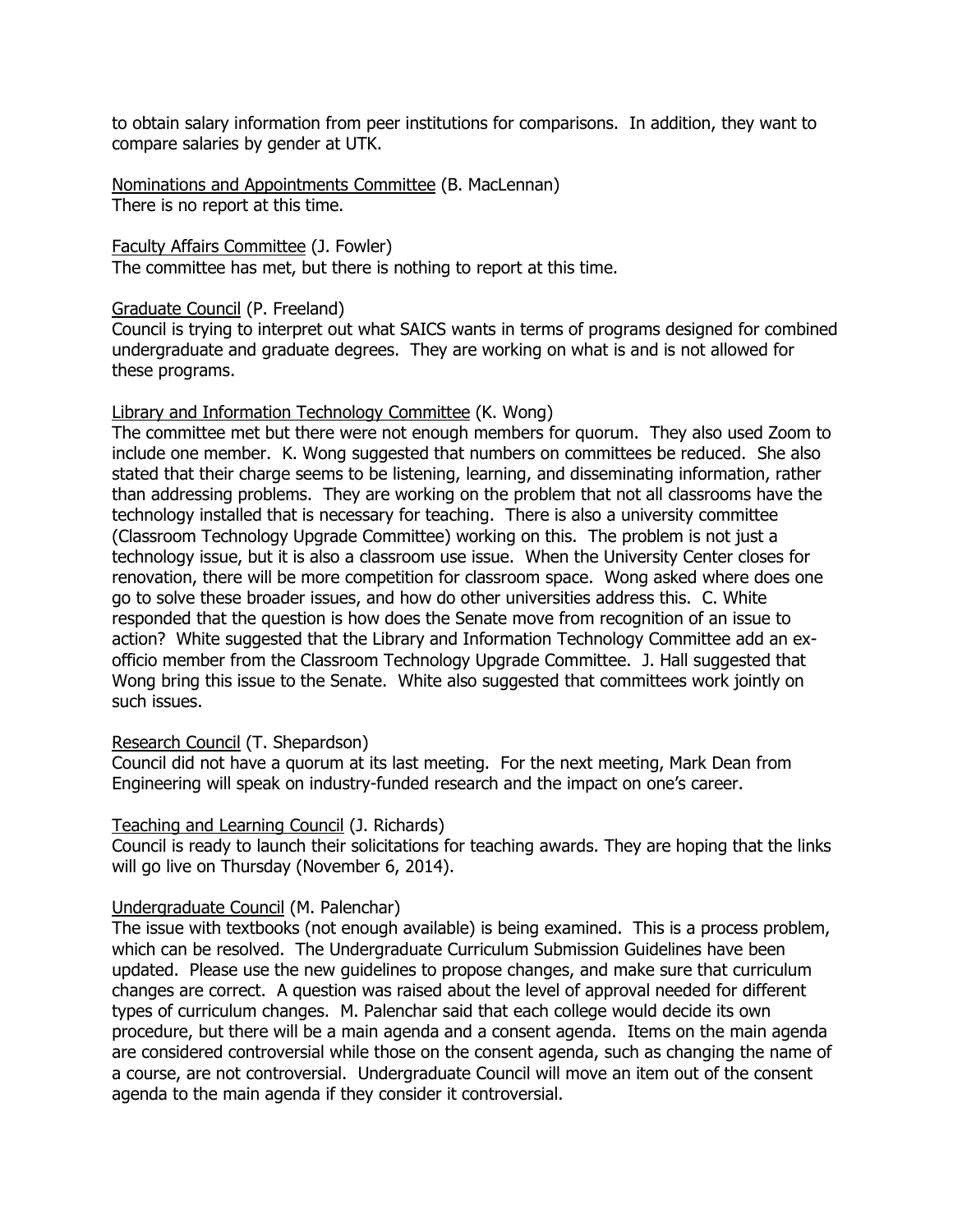to obtain salary information from peer institutions for comparisons. In addition, they want to compare salaries by gender at UTK.

Nominations and Appointments Committee (B. MacLennan) There is no report at this time.

Faculty Affairs Committee (J. Fowler) The committee has met, but there is nothing to report at this time.

#### Graduate Council (P. Freeland)

Council is trying to interpret out what SAICS wants in terms of programs designed for combined undergraduate and graduate degrees. They are working on what is and is not allowed for these programs.

#### Library and Information Technology Committee (K. Wong)

The committee met but there were not enough members for quorum. They also used Zoom to include one member. K. Wong suggested that numbers on committees be reduced. She also stated that their charge seems to be listening, learning, and disseminating information, rather than addressing problems. They are working on the problem that not all classrooms have the technology installed that is necessary for teaching. There is also a university committee (Classroom Technology Upgrade Committee) working on this. The problem is not just a technology issue, but it is also a classroom use issue. When the University Center closes for renovation, there will be more competition for classroom space. Wong asked where does one go to solve these broader issues, and how do other universities address this. C. White responded that the question is how does the Senate move from recognition of an issue to action? White suggested that the Library and Information Technology Committee add an exofficio member from the Classroom Technology Upgrade Committee. J. Hall suggested that Wong bring this issue to the Senate. White also suggested that committees work jointly on such issues.

#### Research Council (T. Shepardson)

Council did not have a quorum at its last meeting. For the next meeting, Mark Dean from Engineering will speak on industry-funded research and the impact on one's career.

### Teaching and Learning Council (J. Richards)

Council is ready to launch their solicitations for teaching awards. They are hoping that the links will go live on Thursday (November 6, 2014).

### Undergraduate Council (M. Palenchar)

The issue with textbooks (not enough available) is being examined. This is a process problem, which can be resolved. The Undergraduate Curriculum Submission Guidelines have been updated. Please use the new guidelines to propose changes, and make sure that curriculum changes are correct. A question was raised about the level of approval needed for different types of curriculum changes. M. Palenchar said that each college would decide its own procedure, but there will be a main agenda and a consent agenda. Items on the main agenda are considered controversial while those on the consent agenda, such as changing the name of a course, are not controversial. Undergraduate Council will move an item out of the consent agenda to the main agenda if they consider it controversial.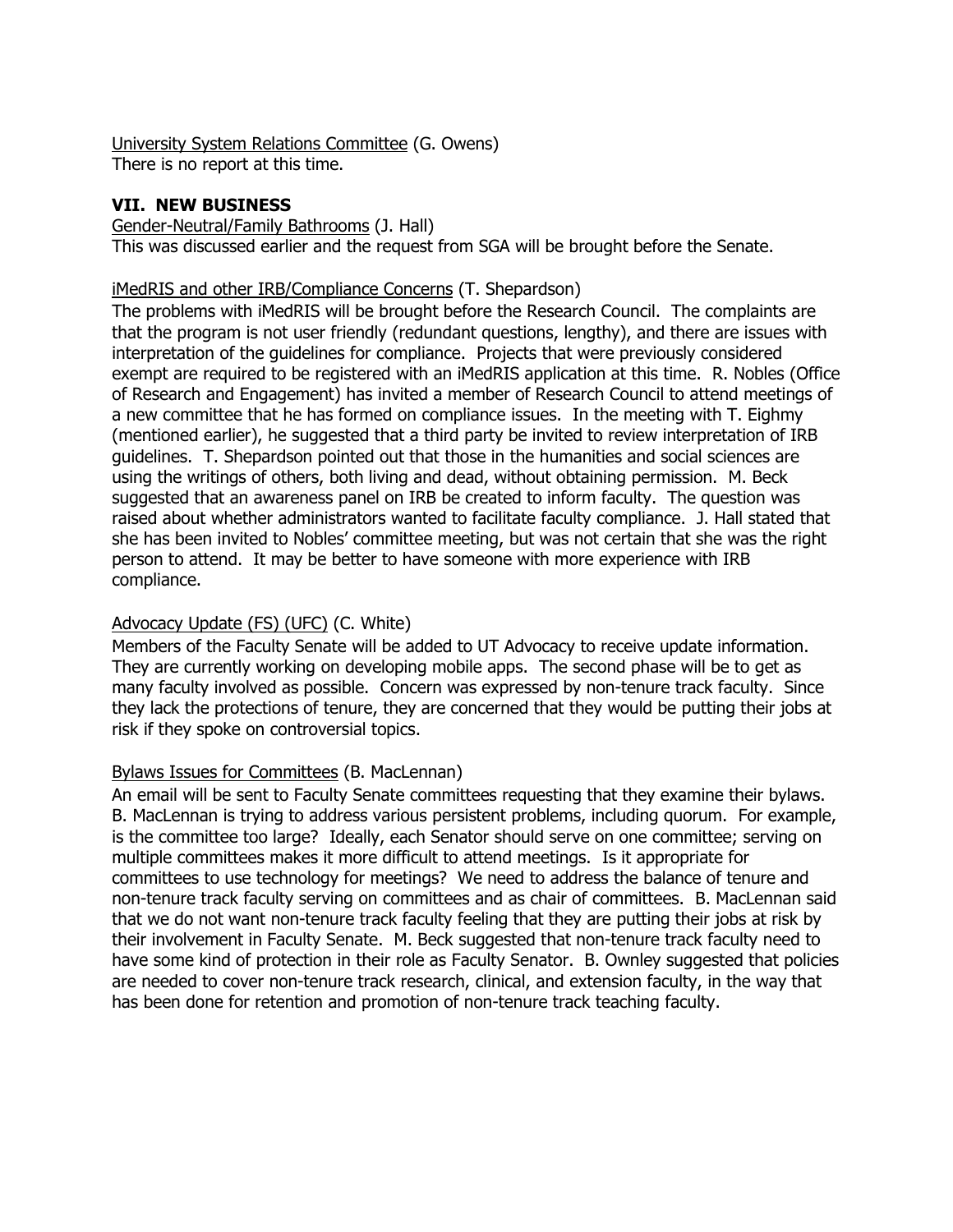University System Relations Committee (G. Owens) There is no report at this time.

### **VII. NEW BUSINESS**

#### Gender-Neutral/Family Bathrooms (J. Hall)

This was discussed earlier and the request from SGA will be brought before the Senate.

### iMedRIS and other IRB/Compliance Concerns (T. Shepardson)

The problems with iMedRIS will be brought before the Research Council. The complaints are that the program is not user friendly (redundant questions, lengthy), and there are issues with interpretation of the guidelines for compliance. Projects that were previously considered exempt are required to be registered with an iMedRIS application at this time. R. Nobles (Office of Research and Engagement) has invited a member of Research Council to attend meetings of a new committee that he has formed on compliance issues. In the meeting with T. Eighmy (mentioned earlier), he suggested that a third party be invited to review interpretation of IRB guidelines. T. Shepardson pointed out that those in the humanities and social sciences are using the writings of others, both living and dead, without obtaining permission. M. Beck suggested that an awareness panel on IRB be created to inform faculty. The question was raised about whether administrators wanted to facilitate faculty compliance. J. Hall stated that she has been invited to Nobles' committee meeting, but was not certain that she was the right person to attend. It may be better to have someone with more experience with IRB compliance.

### Advocacy Update (FS) (UFC) (C. White)

Members of the Faculty Senate will be added to UT Advocacy to receive update information. They are currently working on developing mobile apps. The second phase will be to get as many faculty involved as possible. Concern was expressed by non-tenure track faculty. Since they lack the protections of tenure, they are concerned that they would be putting their jobs at risk if they spoke on controversial topics.

### Bylaws Issues for Committees (B. MacLennan)

An email will be sent to Faculty Senate committees requesting that they examine their bylaws. B. MacLennan is trying to address various persistent problems, including quorum. For example, is the committee too large? Ideally, each Senator should serve on one committee; serving on multiple committees makes it more difficult to attend meetings. Is it appropriate for committees to use technology for meetings? We need to address the balance of tenure and non-tenure track faculty serving on committees and as chair of committees. B. MacLennan said that we do not want non-tenure track faculty feeling that they are putting their jobs at risk by their involvement in Faculty Senate. M. Beck suggested that non-tenure track faculty need to have some kind of protection in their role as Faculty Senator. B. Ownley suggested that policies are needed to cover non-tenure track research, clinical, and extension faculty, in the way that has been done for retention and promotion of non-tenure track teaching faculty.